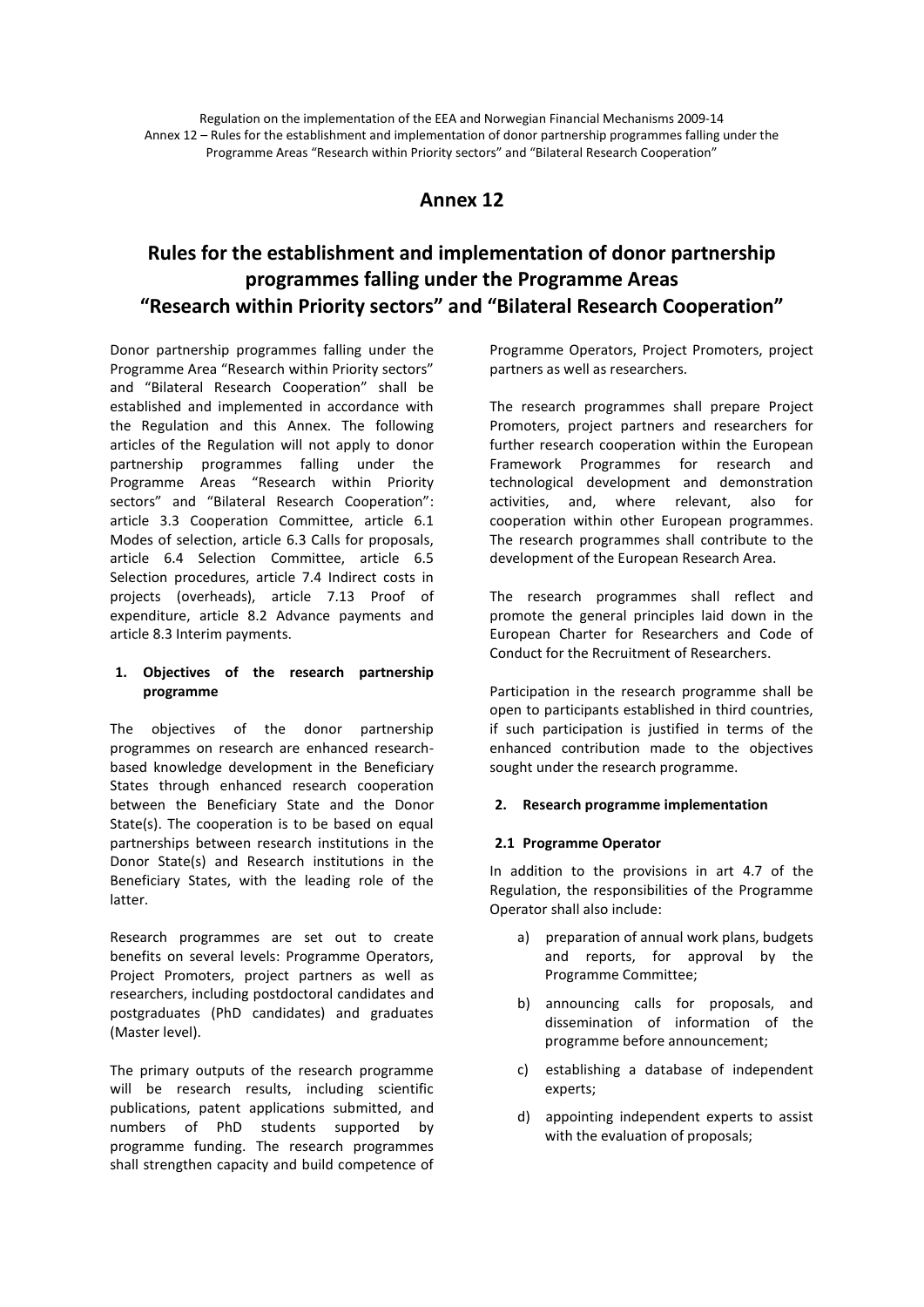## **Annex 12**

# **Rules for the establishment and implementation of donor partnership programmes falling under the Programme Areas "Research within Priority sectors" and "Bilateral Research Cooperation"**

Donor partnership programmes falling under the Programme Area "Research within Priority sectors" and "Bilateral Research Cooperation" shall be established and implemented in accordance with the Regulation and this Annex. The following articles of the Regulation will not apply to donor partnership programmes falling under the Programme Areas "Research within Priority sectors" and "Bilateral Research Cooperation": article 3.3 Cooperation Committee, article 6.1 Modes of selection, article 6.3 Calls for proposals, article 6.4 Selection Committee, article 6.5 Selection procedures, article 7.4 Indirect costs in projects (overheads), article 7.13 Proof of expenditure, article 8.2 Advance payments and article 8.3 Interim payments.

#### **1. Objectives of the research partnership programme**

The objectives of the donor partnership programmes on research are enhanced researchbased knowledge development in the Beneficiary States through enhanced research cooperation between the Beneficiary State and the Donor State(s). The cooperation is to be based on equal partnerships between research institutions in the Donor State(s) and Research institutions in the Beneficiary States, with the leading role of the latter.

Research programmes are set out to create benefits on several levels: Programme Operators, Project Promoters, project partners as well as researchers, including postdoctoral candidates and postgraduates (PhD candidates) and graduates (Master level).

The primary outputs of the research programme will be research results, including scientific publications, patent applications submitted, and numbers of PhD students supported by programme funding. The research programmes shall strengthen capacity and build competence of Programme Operators, Project Promoters, project partners as well as researchers.

The research programmes shall prepare Project Promoters, project partners and researchers for further research cooperation within the European Framework Programmes for research and technological development and demonstration activities, and, where relevant, also for cooperation within other European programmes. The research programmes shall contribute to the development of the European Research Area.

The research programmes shall reflect and promote the general principles laid down in the European Charter for Researchers and Code of Conduct for the Recruitment of Researchers.

Participation in the research programme shall be open to participants established in third countries, if such participation is justified in terms of the enhanced contribution made to the objectives sought under the research programme.

#### **2. Research programme implementation**

#### **2.1 Programme Operator**

In addition to the provisions in art 4.7 of the Regulation, the responsibilities of the Programme Operator shall also include:

- a) preparation of annual work plans, budgets and reports, for approval by the Programme Committee;
- b) announcing calls for proposals, and dissemination of information of the programme before announcement;
- c) establishing a database of independent experts;
- d) appointing independent experts to assist with the evaluation of proposals;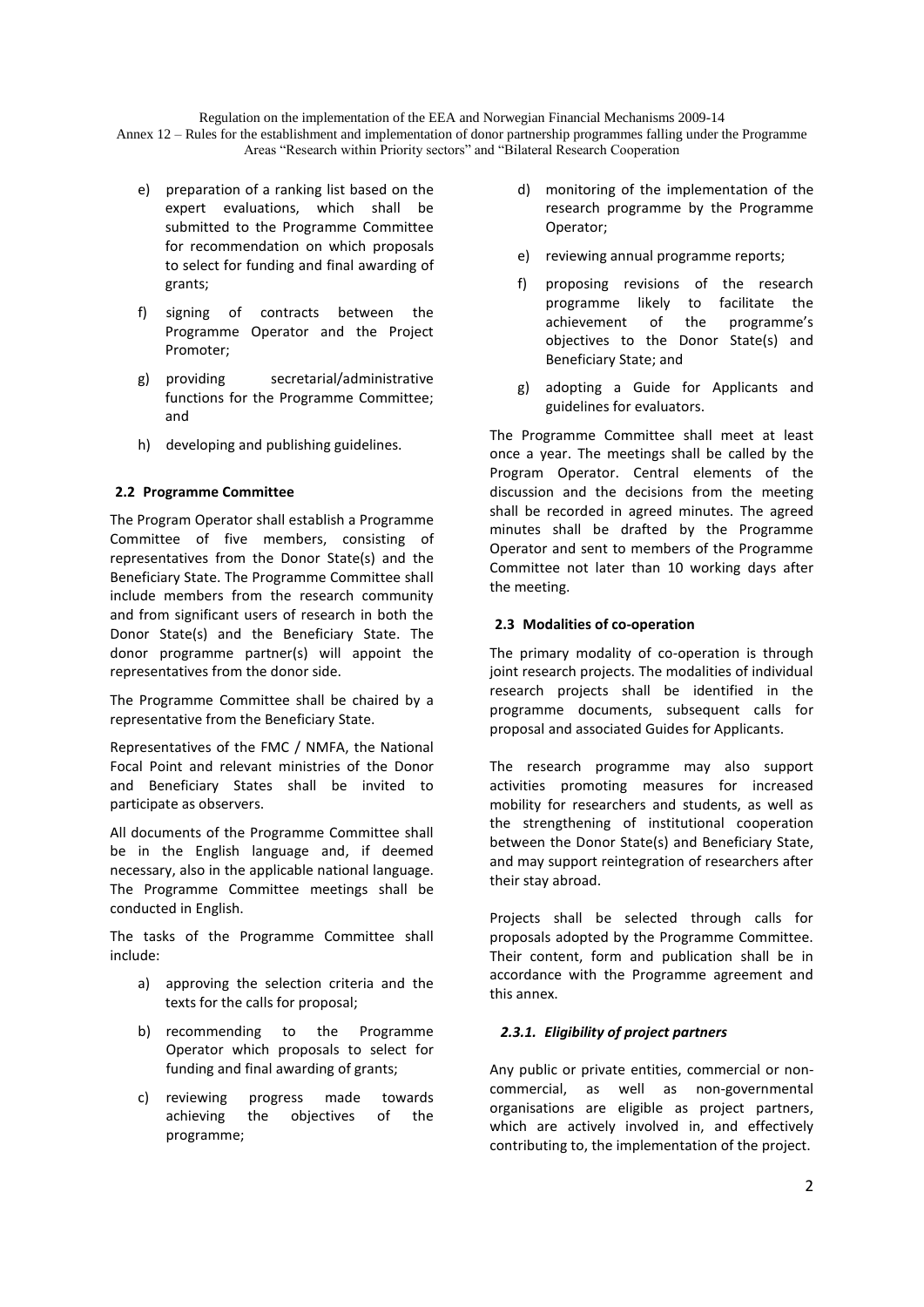Annex 12 – Rules for the establishment and implementation of donor partnership programmes falling under the Programme Areas "Research within Priority sectors" and "Bilateral Research Cooperation

- e) preparation of a ranking list based on the expert evaluations, which shall be submitted to the Programme Committee for recommendation on which proposals to select for funding and final awarding of grants;
- f) signing of contracts between the Programme Operator and the Project Promoter;
- g) providing secretarial/administrative functions for the Programme Committee; and
- h) developing and publishing guidelines.

## **2.2 Programme Committee**

The Program Operator shall establish a Programme Committee of five members, consisting of representatives from the Donor State(s) and the Beneficiary State. The Programme Committee shall include members from the research community and from significant users of research in both the Donor State(s) and the Beneficiary State. The donor programme partner(s) will appoint the representatives from the donor side.

The Programme Committee shall be chaired by a representative from the Beneficiary State.

Representatives of the FMC / NMFA, the National Focal Point and relevant ministries of the Donor and Beneficiary States shall be invited to participate as observers.

All documents of the Programme Committee shall be in the English language and, if deemed necessary, also in the applicable national language. The Programme Committee meetings shall be conducted in English.

The tasks of the Programme Committee shall include:

- a) approving the selection criteria and the texts for the calls for proposal;
- b) recommending to the Programme Operator which proposals to select for funding and final awarding of grants;
- c) reviewing progress made towards achieving the objectives of the programme;
- d) monitoring of the implementation of the research programme by the Programme Operator;
- e) reviewing annual programme reports;
- f) proposing revisions of the research programme likely to facilitate the achievement of the programme's objectives to the Donor State(s) and Beneficiary State; and
- g) adopting a Guide for Applicants and guidelines for evaluators.

The Programme Committee shall meet at least once a year. The meetings shall be called by the Program Operator. Central elements of the discussion and the decisions from the meeting shall be recorded in agreed minutes. The agreed minutes shall be drafted by the Programme Operator and sent to members of the Programme Committee not later than 10 working days after the meeting.

#### **2.3 Modalities of co-operation**

The primary modality of co-operation is through joint research projects. The modalities of individual research projects shall be identified in the programme documents, subsequent calls for proposal and associated Guides for Applicants.

The research programme may also support activities promoting measures for increased mobility for researchers and students, as well as the strengthening of institutional cooperation between the Donor State(s) and Beneficiary State, and may support reintegration of researchers after their stay abroad.

Projects shall be selected through calls for proposals adopted by the Programme Committee. Their content, form and publication shall be in accordance with the Programme agreement and this annex.

## *2.3.1. Eligibility of project partners*

Any public or private entities, commercial or noncommercial, as well as non-governmental organisations are eligible as project partners, which are actively involved in, and effectively contributing to, the implementation of the project.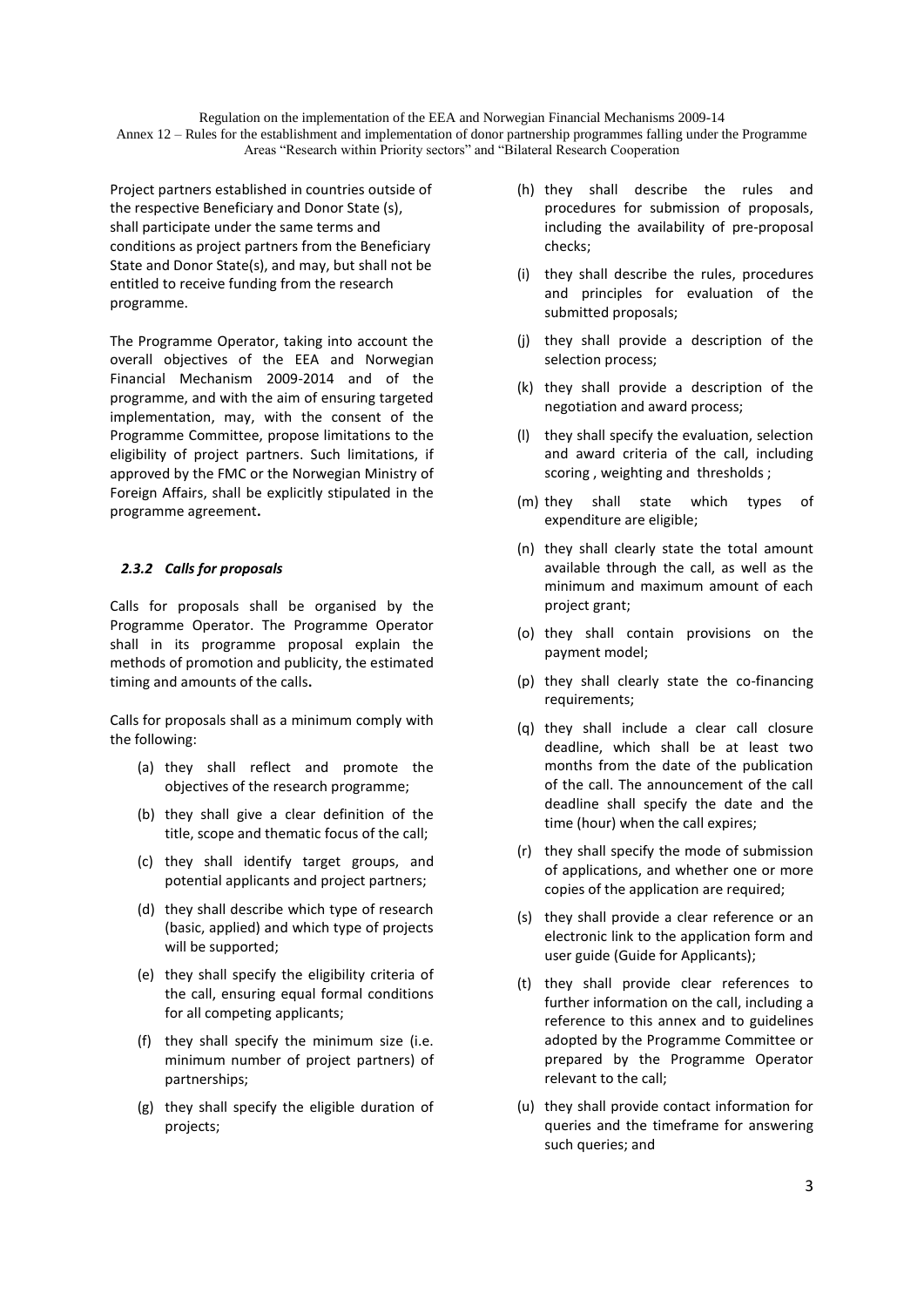Project partners established in countries outside of the respective Beneficiary and Donor State (s), shall participate under the same terms and conditions as project partners from the Beneficiary State and Donor State(s), and may, but shall not be entitled to receive funding from the research programme.

The Programme Operator, taking into account the overall objectives of the EEA and Norwegian Financial Mechanism 2009-2014 and of the programme, and with the aim of ensuring targeted implementation, may, with the consent of the Programme Committee, propose limitations to the eligibility of project partners. Such limitations, if approved by the FMC or the Norwegian Ministry of Foreign Affairs, shall be explicitly stipulated in the programme agreement**.**

#### *2.3.2 Calls for proposals*

Calls for proposals shall be organised by the Programme Operator. The Programme Operator shall in its programme proposal explain the methods of promotion and publicity, the estimated timing and amounts of the calls**.** 

Calls for proposals shall as a minimum comply with the following:

- (a) they shall reflect and promote the objectives of the research programme;
- (b) they shall give a clear definition of the title, scope and thematic focus of the call;
- (c) they shall identify target groups, and potential applicants and project partners;
- (d) they shall describe which type of research (basic, applied) and which type of projects will be supported;
- (e) they shall specify the eligibility criteria of the call, ensuring equal formal conditions for all competing applicants;
- (f) they shall specify the minimum size (i.e. minimum number of project partners) of partnerships;
- (g) they shall specify the eligible duration of projects;
- (h) they shall describe the rules and procedures for submission of proposals, including the availability of pre-proposal checks;
- (i) they shall describe the rules, procedures and principles for evaluation of the submitted proposals;
- (j) they shall provide a description of the selection process;
- (k) they shall provide a description of the negotiation and award process;
- (l) they shall specify the evaluation, selection and award criteria of the call, including scoring , weighting and thresholds ;
- (m) they shall state which types of expenditure are eligible;
- (n) they shall clearly state the total amount available through the call, as well as the minimum and maximum amount of each project grant;
- (o) they shall contain provisions on the payment model;
- (p) they shall clearly state the co-financing requirements;
- (q) they shall include a clear call closure deadline, which shall be at least two months from the date of the publication of the call. The announcement of the call deadline shall specify the date and the time (hour) when the call expires;
- (r) they shall specify the mode of submission of applications, and whether one or more copies of the application are required;
- (s) they shall provide a clear reference or an electronic link to the application form and user guide (Guide for Applicants);
- (t) they shall provide clear references to further information on the call, including a reference to this annex and to guidelines adopted by the Programme Committee or prepared by the Programme Operator relevant to the call;
- (u) they shall provide contact information for queries and the timeframe for answering such queries; and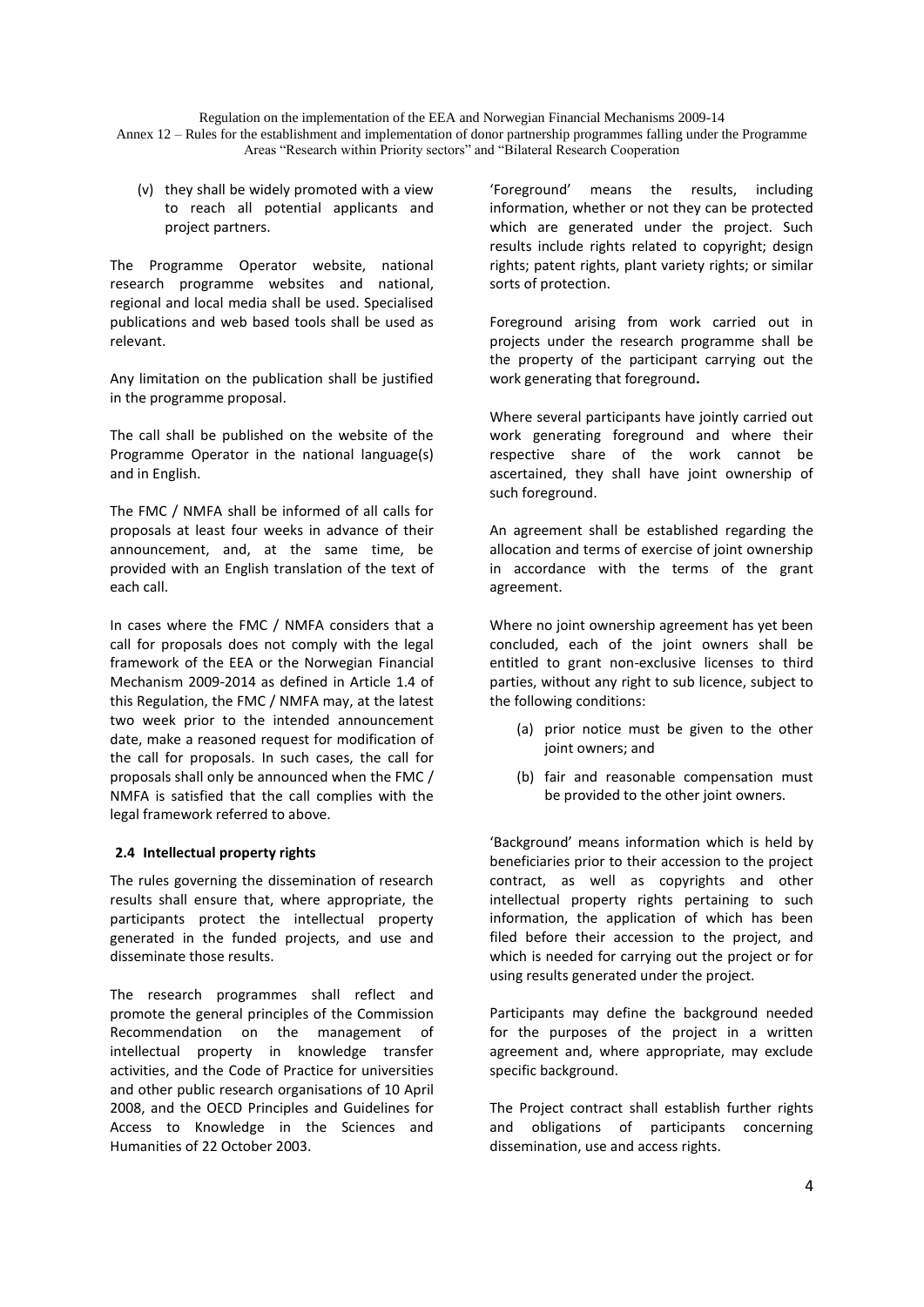Annex 12 – Rules for the establishment and implementation of donor partnership programmes falling under the Programme Areas "Research within Priority sectors" and "Bilateral Research Cooperation

(v) they shall be widely promoted with a view to reach all potential applicants and project partners.

The Programme Operator website, national research programme websites and national, regional and local media shall be used. Specialised publications and web based tools shall be used as relevant.

Any limitation on the publication shall be justified in the programme proposal.

The call shall be published on the website of the Programme Operator in the national language(s) and in English.

The FMC / NMFA shall be informed of all calls for proposals at least four weeks in advance of their announcement, and, at the same time, be provided with an English translation of the text of each call.

In cases where the FMC / NMFA considers that a call for proposals does not comply with the legal framework of the EEA or the Norwegian Financial Mechanism 2009-2014 as defined in Article 1.4 of this Regulation, the FMC / NMFA may, at the latest two week prior to the intended announcement date, make a reasoned request for modification of the call for proposals. In such cases, the call for proposals shall only be announced when the FMC / NMFA is satisfied that the call complies with the legal framework referred to above.

#### **2.4 Intellectual property rights**

The rules governing the dissemination of research results shall ensure that, where appropriate, the participants protect the intellectual property generated in the funded projects, and use and disseminate those results.

The research programmes shall reflect and promote the general principles of the Commission Recommendation on the management of intellectual property in knowledge transfer activities, and the Code of Practice for universities and other public research organisations of 10 April 2008, and the OECD Principles and Guidelines for Access to Knowledge in the Sciences and Humanities of 22 October 2003.

'Foreground' means the results, including information, whether or not they can be protected which are generated under the project. Such results include rights related to copyright; design rights; patent rights, plant variety rights; or similar sorts of protection.

Foreground arising from work carried out in projects under the research programme shall be the property of the participant carrying out the work generating that foreground**.**

Where several participants have jointly carried out work generating foreground and where their respective share of the work cannot be ascertained, they shall have joint ownership of such foreground.

An agreement shall be established regarding the allocation and terms of exercise of joint ownership in accordance with the terms of the grant agreement.

Where no joint ownership agreement has yet been concluded, each of the joint owners shall be entitled to grant non-exclusive licenses to third parties, without any right to sub licence, subject to the following conditions:

- (a) prior notice must be given to the other joint owners; and
- (b) fair and reasonable compensation must be provided to the other joint owners.

'Background' means information which is held by beneficiaries prior to their accession to the project contract, as well as copyrights and other intellectual property rights pertaining to such information, the application of which has been filed before their accession to the project, and which is needed for carrying out the project or for using results generated under the project.

Participants may define the background needed for the purposes of the project in a written agreement and, where appropriate, may exclude specific background.

The Project contract shall establish further rights and obligations of participants concerning dissemination, use and access rights.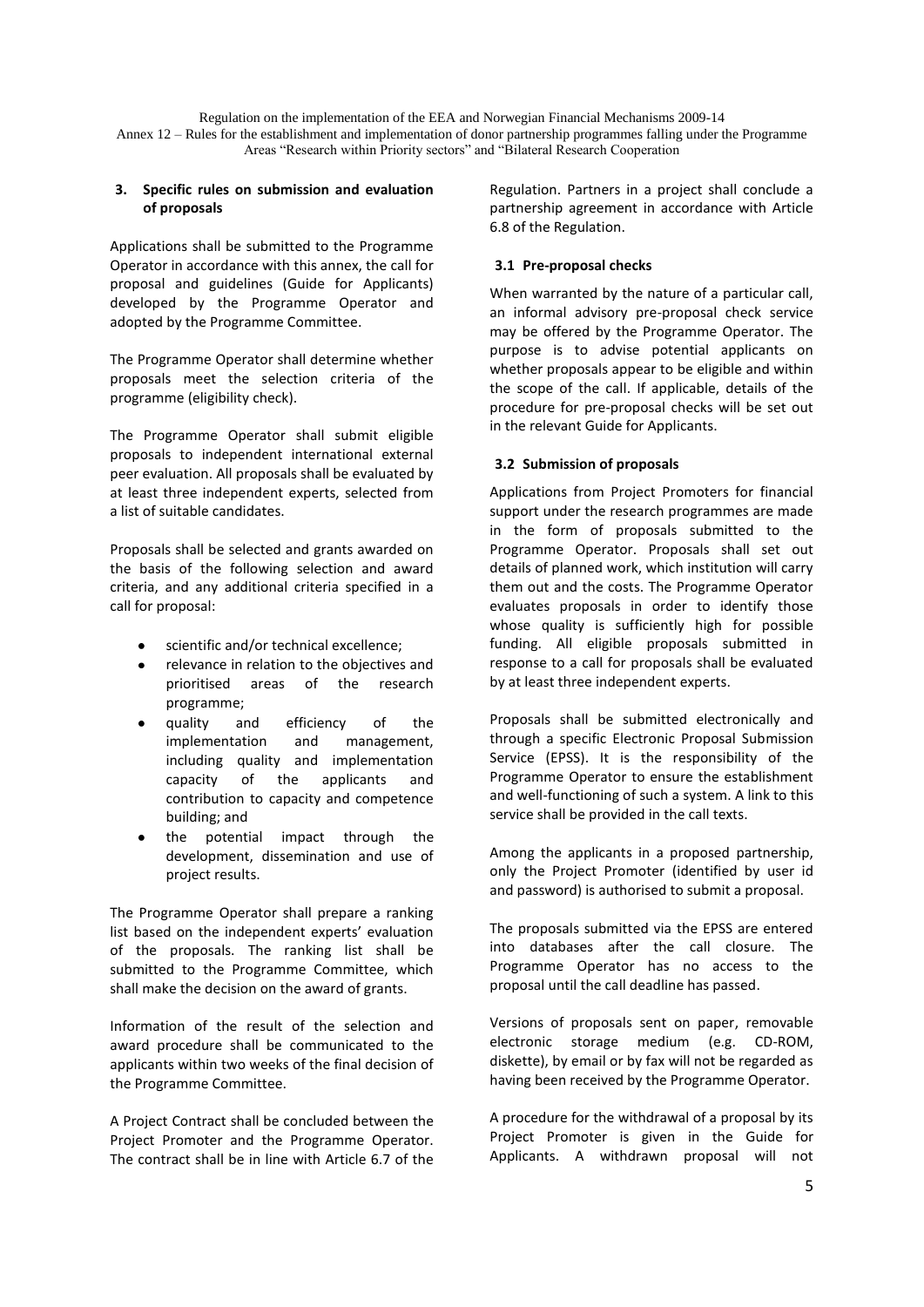#### **3. Specific rules on submission and evaluation of proposals**

Applications shall be submitted to the Programme Operator in accordance with this annex, the call for proposal and guidelines (Guide for Applicants) developed by the Programme Operator and adopted by the Programme Committee.

The Programme Operator shall determine whether proposals meet the selection criteria of the programme (eligibility check).

The Programme Operator shall submit eligible proposals to independent international external peer evaluation. All proposals shall be evaluated by at least three independent experts, selected from a list of suitable candidates.

Proposals shall be selected and grants awarded on the basis of the following selection and award criteria, and any additional criteria specified in a call for proposal:

- scientific and/or technical excellence;
- relevance in relation to the objectives and prioritised areas of the research programme;
- quality and efficiency of the implementation and management, including quality and implementation capacity of the applicants and contribution to capacity and competence building; and
- the potential impact through the development, dissemination and use of project results.

The Programme Operator shall prepare a ranking list based on the independent experts' evaluation of the proposals. The ranking list shall be submitted to the Programme Committee, which shall make the decision on the award of grants.

Information of the result of the selection and award procedure shall be communicated to the applicants within two weeks of the final decision of the Programme Committee.

A Project Contract shall be concluded between the Project Promoter and the Programme Operator. The contract shall be in line with Article 6.7 of the

Regulation. Partners in a project shall conclude a partnership agreement in accordance with Article 6.8 of the Regulation.

## **3.1 Pre-proposal checks**

When warranted by the nature of a particular call, an informal advisory pre-proposal check service may be offered by the Programme Operator. The purpose is to advise potential applicants on whether proposals appear to be eligible and within the scope of the call. If applicable, details of the procedure for pre-proposal checks will be set out in the relevant Guide for Applicants.

## **3.2 Submission of proposals**

Applications from Project Promoters for financial support under the research programmes are made in the form of proposals submitted to the Programme Operator. Proposals shall set out details of planned work, which institution will carry them out and the costs. The Programme Operator evaluates proposals in order to identify those whose quality is sufficiently high for possible funding. All eligible proposals submitted in response to a call for proposals shall be evaluated by at least three independent experts.

Proposals shall be submitted electronically and through a specific Electronic Proposal Submission Service (EPSS). It is the responsibility of the Programme Operator to ensure the establishment and well-functioning of such a system. A link to this service shall be provided in the call texts.

Among the applicants in a proposed partnership, only the Project Promoter (identified by user id and password) is authorised to submit a proposal.

The proposals submitted via the EPSS are entered into databases after the call closure. The Programme Operator has no access to the proposal until the call deadline has passed.

Versions of proposals sent on paper, removable electronic storage medium (e.g. CD-ROM, diskette), by email or by fax will not be regarded as having been received by the Programme Operator.

A procedure for the withdrawal of a proposal by its Project Promoter is given in the Guide for Applicants. A withdrawn proposal will not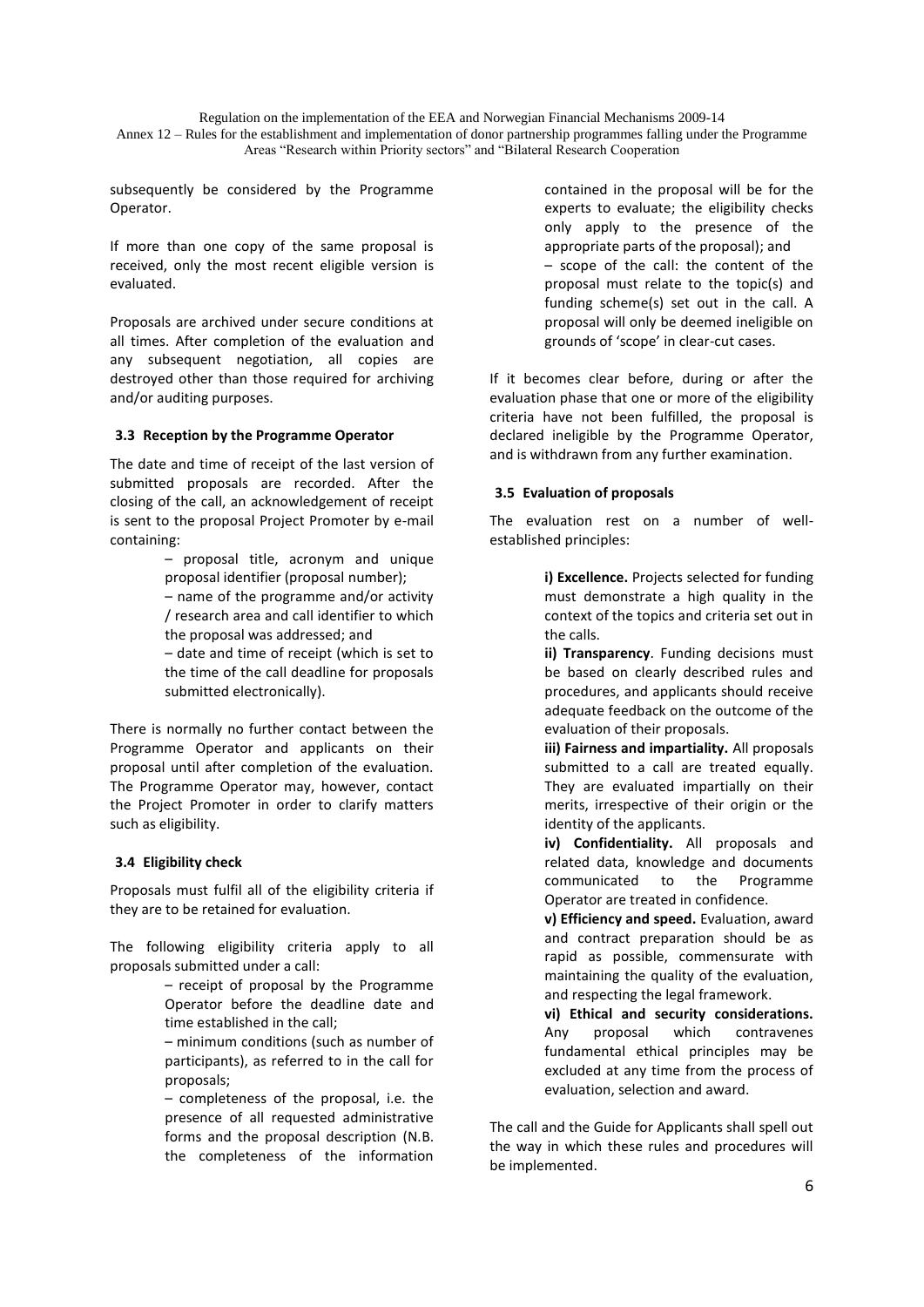subsequently be considered by the Programme Operator.

If more than one copy of the same proposal is received, only the most recent eligible version is evaluated.

Proposals are archived under secure conditions at all times. After completion of the evaluation and any subsequent negotiation, all copies are destroyed other than those required for archiving and/or auditing purposes.

#### **3.3 Reception by the Programme Operator**

The date and time of receipt of the last version of submitted proposals are recorded. After the closing of the call, an acknowledgement of receipt is sent to the proposal Project Promoter by e-mail containing:

> – proposal title, acronym and unique proposal identifier (proposal number); – name of the programme and/or activity / research area and call identifier to which the proposal was addressed; and – date and time of receipt (which is set to the time of the call deadline for proposals submitted electronically).

There is normally no further contact between the Programme Operator and applicants on their proposal until after completion of the evaluation. The Programme Operator may, however, contact the Project Promoter in order to clarify matters such as eligibility.

#### **3.4 Eligibility check**

Proposals must fulfil all of the eligibility criteria if they are to be retained for evaluation.

The following eligibility criteria apply to all proposals submitted under a call:

> – receipt of proposal by the Programme Operator before the deadline date and time established in the call;

> – minimum conditions (such as number of participants), as referred to in the call for proposals;

> – completeness of the proposal, i.e. the presence of all requested administrative forms and the proposal description (N.B. the completeness of the information

contained in the proposal will be for the experts to evaluate; the eligibility checks only apply to the presence of the appropriate parts of the proposal); and – scope of the call: the content of the proposal must relate to the topic(s) and funding scheme(s) set out in the call. A proposal will only be deemed ineligible on grounds of 'scope' in clear-cut cases.

If it becomes clear before, during or after the evaluation phase that one or more of the eligibility criteria have not been fulfilled, the proposal is declared ineligible by the Programme Operator, and is withdrawn from any further examination.

#### **3.5 Evaluation of proposals**

The evaluation rest on a number of wellestablished principles:

> **i) Excellence.** Projects selected for funding must demonstrate a high quality in the context of the topics and criteria set out in the calls.

> **ii) Transparency**. Funding decisions must be based on clearly described rules and procedures, and applicants should receive adequate feedback on the outcome of the evaluation of their proposals.

> **iii) Fairness and impartiality.** All proposals submitted to a call are treated equally. They are evaluated impartially on their merits, irrespective of their origin or the identity of the applicants.

> **iv) Confidentiality.** All proposals and related data, knowledge and documents communicated to the Programme Operator are treated in confidence.

> **v) Efficiency and speed.** Evaluation, award and contract preparation should be as rapid as possible, commensurate with maintaining the quality of the evaluation, and respecting the legal framework.

> **vi) Ethical and security considerations.**  Any proposal which contravenes fundamental ethical principles may be excluded at any time from the process of evaluation, selection and award.

The call and the Guide for Applicants shall spell out the way in which these rules and procedures will be implemented.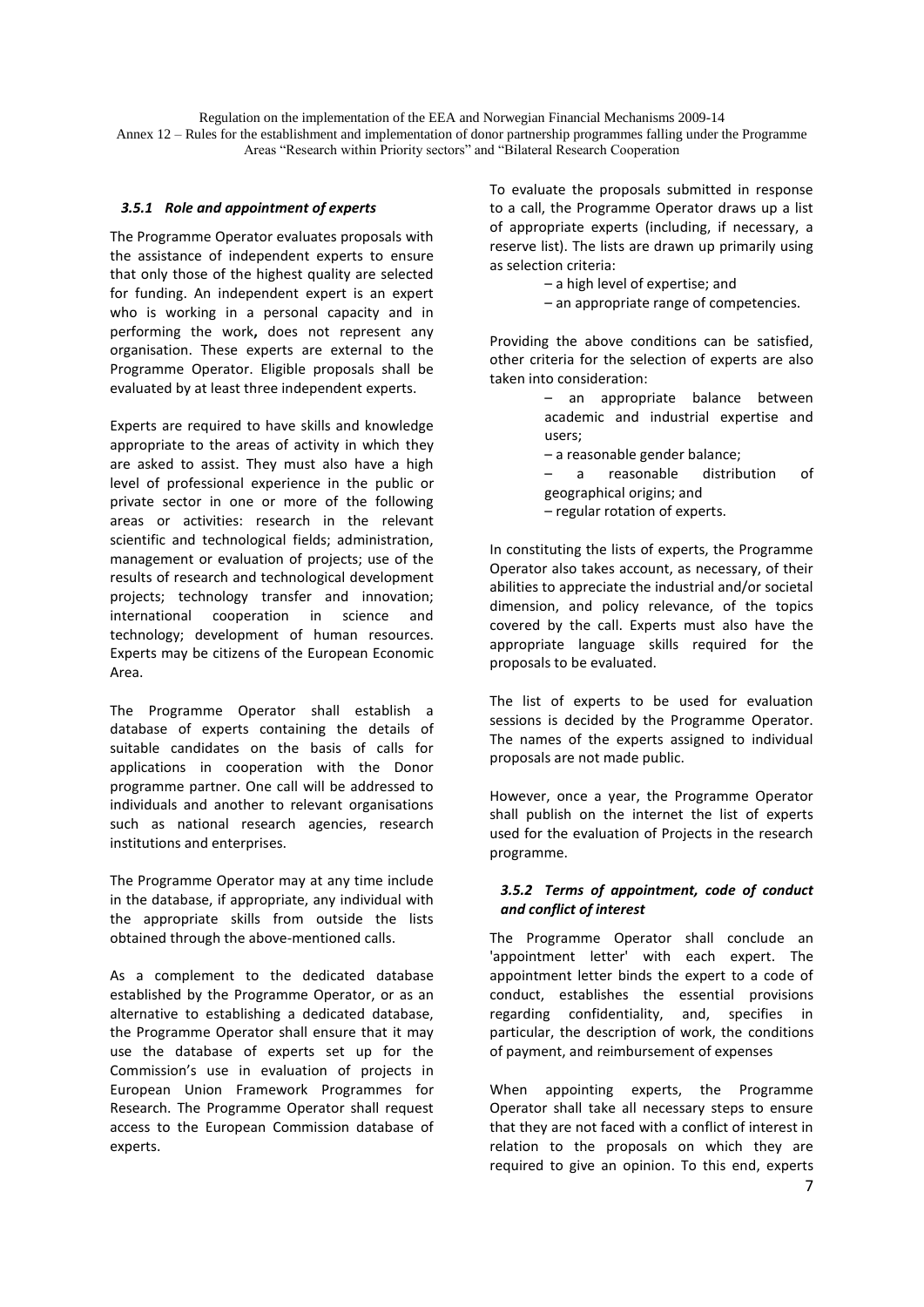#### *3.5.1 Role and appointment of experts*

The Programme Operator evaluates proposals with the assistance of independent experts to ensure that only those of the highest quality are selected for funding. An independent expert is an expert who is working in a personal capacity and in performing the work**,** does not represent any organisation. These experts are external to the Programme Operator. Eligible proposals shall be evaluated by at least three independent experts.

Experts are required to have skills and knowledge appropriate to the areas of activity in which they are asked to assist. They must also have a high level of professional experience in the public or private sector in one or more of the following areas or activities: research in the relevant scientific and technological fields; administration, management or evaluation of projects; use of the results of research and technological development projects; technology transfer and innovation; international cooperation in science and technology; development of human resources. Experts may be citizens of the European Economic Area.

The Programme Operator shall establish a database of experts containing the details of suitable candidates on the basis of calls for applications in cooperation with the Donor programme partner. One call will be addressed to individuals and another to relevant organisations such as national research agencies, research institutions and enterprises.

The Programme Operator may at any time include in the database, if appropriate, any individual with the appropriate skills from outside the lists obtained through the above-mentioned calls.

As a complement to the dedicated database established by the Programme Operator, or as an alternative to establishing a dedicated database, the Programme Operator shall ensure that it may use the database of experts set up for the Commission's use in evaluation of projects in European Union Framework Programmes for Research. The Programme Operator shall request access to the European Commission database of experts.

To evaluate the proposals submitted in response to a call, the Programme Operator draws up a list of appropriate experts (including, if necessary, a reserve list). The lists are drawn up primarily using as selection criteria:

– a high level of expertise; and

– an appropriate range of competencies.

Providing the above conditions can be satisfied, other criteria for the selection of experts are also taken into consideration:

- an appropriate balance between academic and industrial expertise and users; – a reasonable gender balance; – a reasonable distribution of geographical origins; and
- regular rotation of experts.

In constituting the lists of experts, the Programme Operator also takes account, as necessary, of their abilities to appreciate the industrial and/or societal dimension, and policy relevance, of the topics covered by the call. Experts must also have the appropriate language skills required for the proposals to be evaluated.

The list of experts to be used for evaluation sessions is decided by the Programme Operator. The names of the experts assigned to individual proposals are not made public.

However, once a year, the Programme Operator shall publish on the internet the list of experts used for the evaluation of Projects in the research programme.

#### *3.5.2 Terms of appointment, code of conduct and conflict of interest*

The Programme Operator shall conclude an 'appointment letter' with each expert. The appointment letter binds the expert to a code of conduct, establishes the essential provisions regarding confidentiality, and, specifies in particular, the description of work, the conditions of payment, and reimbursement of expenses

When appointing experts, the Programme Operator shall take all necessary steps to ensure that they are not faced with a conflict of interest in relation to the proposals on which they are required to give an opinion. To this end, experts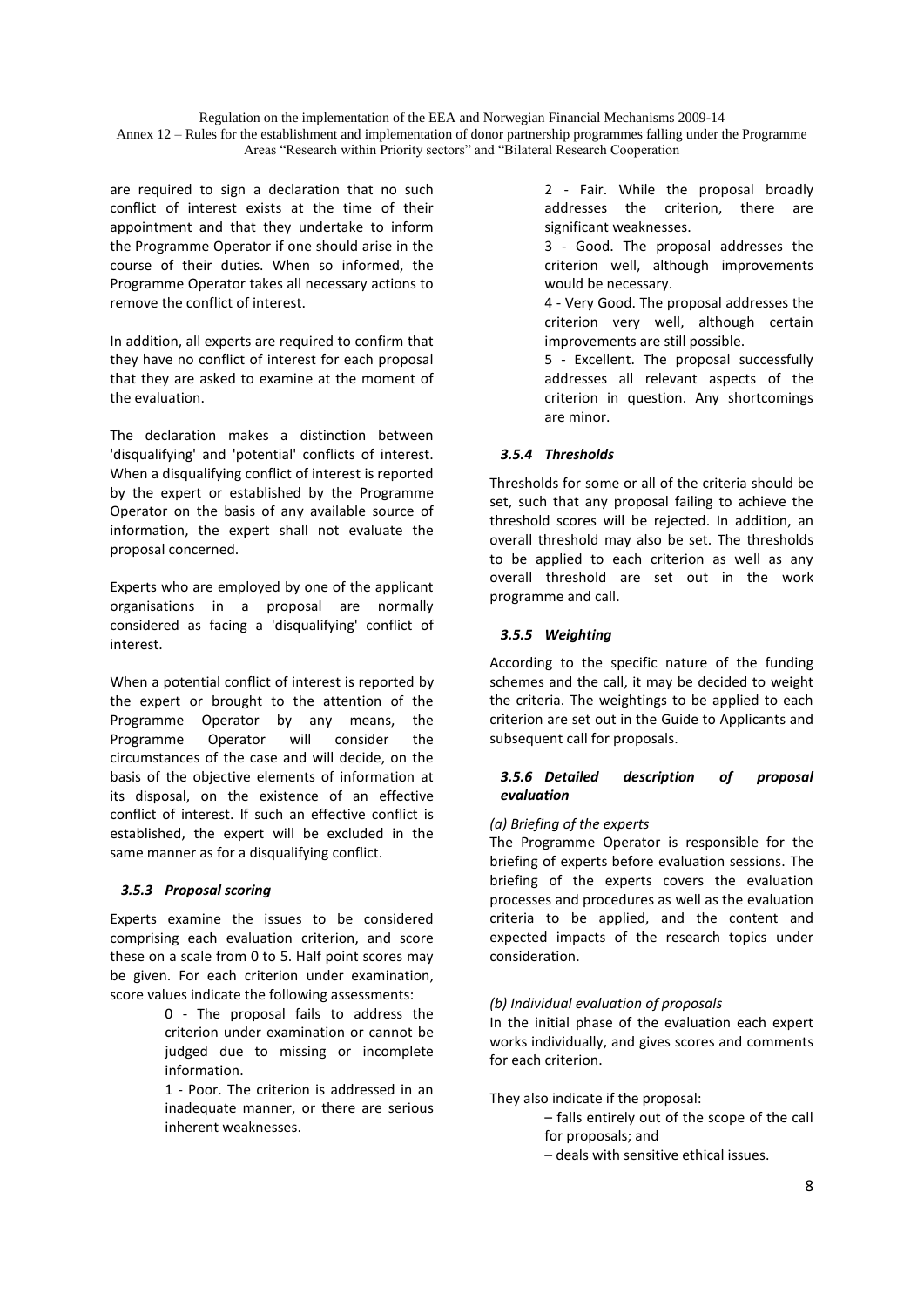Annex 12 – Rules for the establishment and implementation of donor partnership programmes falling under the Programme Areas "Research within Priority sectors" and "Bilateral Research Cooperation

are required to sign a declaration that no such conflict of interest exists at the time of their appointment and that they undertake to inform the Programme Operator if one should arise in the course of their duties. When so informed, the Programme Operator takes all necessary actions to remove the conflict of interest.

In addition, all experts are required to confirm that they have no conflict of interest for each proposal that they are asked to examine at the moment of the evaluation.

The declaration makes a distinction between 'disqualifying' and 'potential' conflicts of interest. When a disqualifying conflict of interest is reported by the expert or established by the Programme Operator on the basis of any available source of information, the expert shall not evaluate the proposal concerned.

Experts who are employed by one of the applicant organisations in a proposal are normally considered as facing a 'disqualifying' conflict of interest.

When a potential conflict of interest is reported by the expert or brought to the attention of the Programme Operator by any means, the Programme Operator will consider the circumstances of the case and will decide, on the basis of the objective elements of information at its disposal, on the existence of an effective conflict of interest. If such an effective conflict is established, the expert will be excluded in the same manner as for a disqualifying conflict.

#### *3.5.3 Proposal scoring*

Experts examine the issues to be considered comprising each evaluation criterion, and score these on a scale from 0 to 5. Half point scores may be given. For each criterion under examination, score values indicate the following assessments:

> 0 - The proposal fails to address the criterion under examination or cannot be judged due to missing or incomplete information.

> 1 - Poor. The criterion is addressed in an inadequate manner, or there are serious inherent weaknesses.

2 - Fair. While the proposal broadly addresses the criterion, there are significant weaknesses.

3 - Good. The proposal addresses the criterion well, although improvements would be necessary.

4 - Very Good. The proposal addresses the criterion very well, although certain improvements are still possible.

5 - Excellent. The proposal successfully addresses all relevant aspects of the criterion in question. Any shortcomings are minor.

## *3.5.4 Thresholds*

Thresholds for some or all of the criteria should be set, such that any proposal failing to achieve the threshold scores will be rejected. In addition, an overall threshold may also be set. The thresholds to be applied to each criterion as well as any overall threshold are set out in the work programme and call.

## *3.5.5 Weighting*

According to the specific nature of the funding schemes and the call, it may be decided to weight the criteria. The weightings to be applied to each criterion are set out in the Guide to Applicants and subsequent call for proposals.

## *3.5.6 Detailed description of proposal evaluation*

#### *(a) Briefing of the experts*

The Programme Operator is responsible for the briefing of experts before evaluation sessions. The briefing of the experts covers the evaluation processes and procedures as well as the evaluation criteria to be applied, and the content and expected impacts of the research topics under consideration.

## *(b) Individual evaluation of proposals*

In the initial phase of the evaluation each expert works individually, and gives scores and comments for each criterion.

They also indicate if the proposal:

- falls entirely out of the scope of the call for proposals; and
- deals with sensitive ethical issues.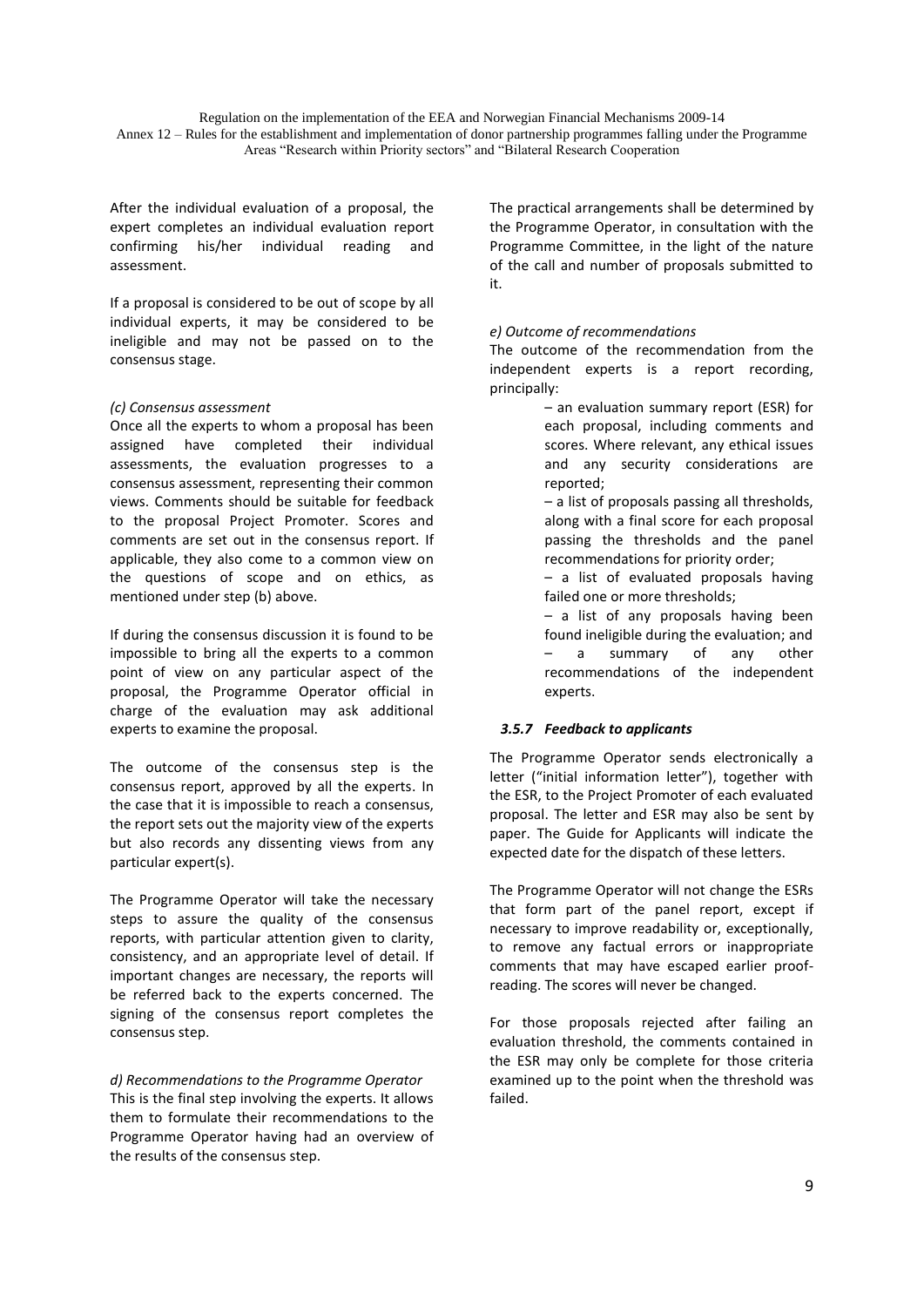Annex 12 – Rules for the establishment and implementation of donor partnership programmes falling under the Programme Areas "Research within Priority sectors" and "Bilateral Research Cooperation

After the individual evaluation of a proposal, the expert completes an individual evaluation report confirming his/her individual reading and assessment.

If a proposal is considered to be out of scope by all individual experts, it may be considered to be ineligible and may not be passed on to the consensus stage.

#### *(c) Consensus assessment*

Once all the experts to whom a proposal has been assigned have completed their individual assessments, the evaluation progresses to a consensus assessment, representing their common views. Comments should be suitable for feedback to the proposal Project Promoter. Scores and comments are set out in the consensus report. If applicable, they also come to a common view on the questions of scope and on ethics, as mentioned under step (b) above.

If during the consensus discussion it is found to be impossible to bring all the experts to a common point of view on any particular aspect of the proposal, the Programme Operator official in charge of the evaluation may ask additional experts to examine the proposal.

The outcome of the consensus step is the consensus report, approved by all the experts. In the case that it is impossible to reach a consensus, the report sets out the majority view of the experts but also records any dissenting views from any particular expert(s).

The Programme Operator will take the necessary steps to assure the quality of the consensus reports, with particular attention given to clarity, consistency, and an appropriate level of detail. If important changes are necessary, the reports will be referred back to the experts concerned. The signing of the consensus report completes the consensus step.

*d) Recommendations to the Programme Operator* This is the final step involving the experts. It allows them to formulate their recommendations to the Programme Operator having had an overview of the results of the consensus step.

The practical arrangements shall be determined by the Programme Operator, in consultation with the Programme Committee, in the light of the nature of the call and number of proposals submitted to it.

#### *e) Outcome of recommendations*

The outcome of the recommendation from the independent experts is a report recording, principally:

- an evaluation summary report (ESR) for each proposal, including comments and scores. Where relevant, any ethical issues and any security considerations are reported;
- a list of proposals passing all thresholds, along with a final score for each proposal passing the thresholds and the panel recommendations for priority order;
- a list of evaluated proposals having failed one or more thresholds;
- a list of any proposals having been found ineligible during the evaluation; and a summary of any other recommendations of the independent experts.

#### *3.5.7 Feedback to applicants*

The Programme Operator sends electronically a letter ("initial information letter"), together with the ESR, to the Project Promoter of each evaluated proposal. The letter and ESR may also be sent by paper. The Guide for Applicants will indicate the expected date for the dispatch of these letters.

The Programme Operator will not change the ESRs that form part of the panel report, except if necessary to improve readability or, exceptionally, to remove any factual errors or inappropriate comments that may have escaped earlier proofreading. The scores will never be changed.

For those proposals rejected after failing an evaluation threshold, the comments contained in the ESR may only be complete for those criteria examined up to the point when the threshold was failed.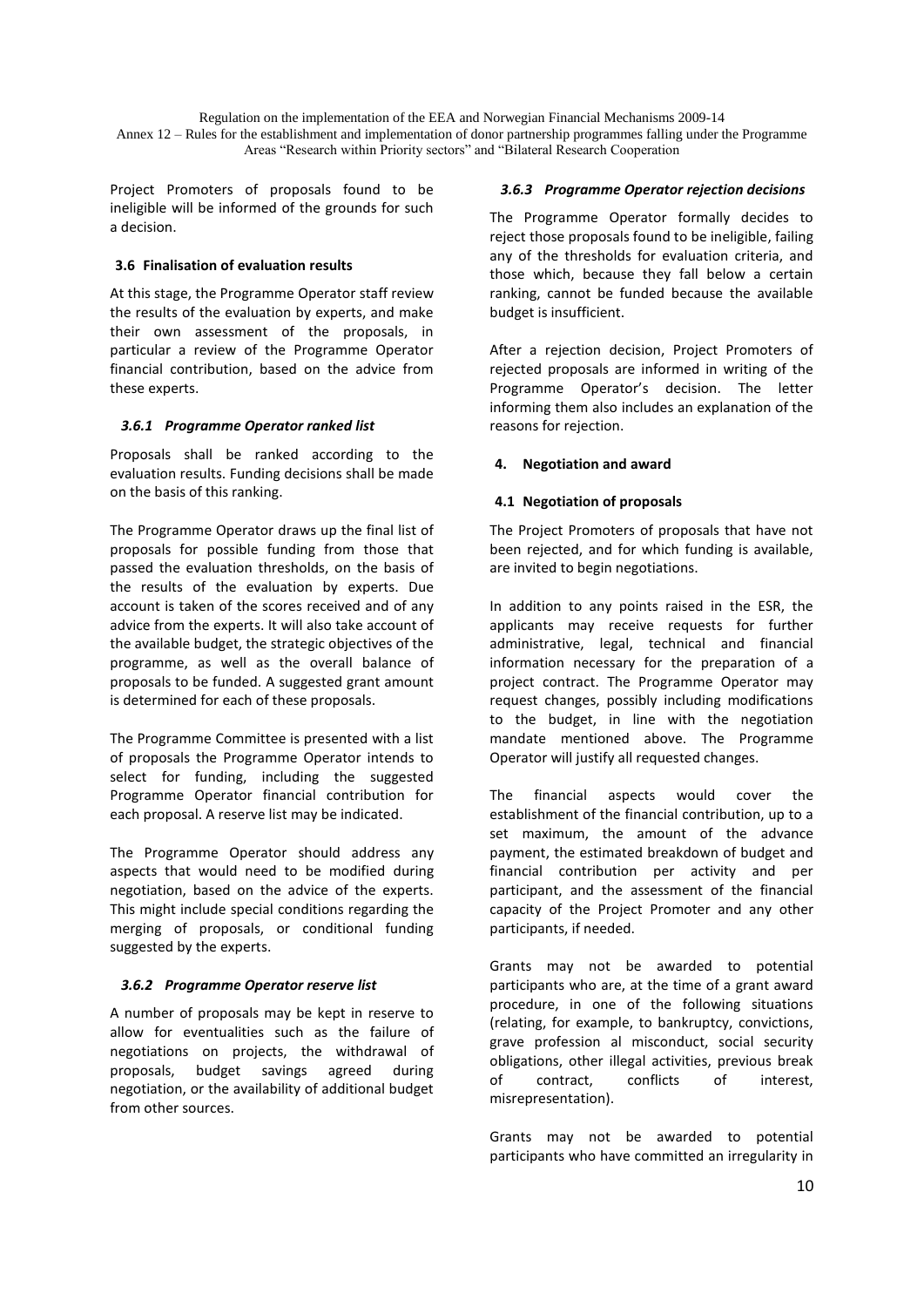Project Promoters of proposals found to be ineligible will be informed of the grounds for such a decision.

### **3.6 Finalisation of evaluation results**

At this stage, the Programme Operator staff review the results of the evaluation by experts, and make their own assessment of the proposals, in particular a review of the Programme Operator financial contribution, based on the advice from these experts.

## *3.6.1 Programme Operator ranked list*

Proposals shall be ranked according to the evaluation results. Funding decisions shall be made on the basis of this ranking.

The Programme Operator draws up the final list of proposals for possible funding from those that passed the evaluation thresholds, on the basis of the results of the evaluation by experts. Due account is taken of the scores received and of any advice from the experts. It will also take account of the available budget, the strategic objectives of the programme, as well as the overall balance of proposals to be funded. A suggested grant amount is determined for each of these proposals.

The Programme Committee is presented with a list of proposals the Programme Operator intends to select for funding, including the suggested Programme Operator financial contribution for each proposal. A reserve list may be indicated.

The Programme Operator should address any aspects that would need to be modified during negotiation, based on the advice of the experts. This might include special conditions regarding the merging of proposals, or conditional funding suggested by the experts.

#### *3.6.2 Programme Operator reserve list*

A number of proposals may be kept in reserve to allow for eventualities such as the failure of negotiations on projects, the withdrawal of proposals, budget savings agreed during negotiation, or the availability of additional budget from other sources.

### *3.6.3 Programme Operator rejection decisions*

The Programme Operator formally decides to reject those proposals found to be ineligible, failing any of the thresholds for evaluation criteria, and those which, because they fall below a certain ranking, cannot be funded because the available budget is insufficient.

After a rejection decision, Project Promoters of rejected proposals are informed in writing of the Programme Operator's decision. The letter informing them also includes an explanation of the reasons for rejection.

## **4. Negotiation and award**

## **4.1 Negotiation of proposals**

The Project Promoters of proposals that have not been rejected, and for which funding is available, are invited to begin negotiations.

In addition to any points raised in the ESR, the applicants may receive requests for further administrative, legal, technical and financial information necessary for the preparation of a project contract. The Programme Operator may request changes, possibly including modifications to the budget, in line with the negotiation mandate mentioned above. The Programme Operator will justify all requested changes.

The financial aspects would cover the establishment of the financial contribution, up to a set maximum, the amount of the advance payment, the estimated breakdown of budget and financial contribution per activity and per participant, and the assessment of the financial capacity of the Project Promoter and any other participants, if needed.

Grants may not be awarded to potential participants who are, at the time of a grant award procedure, in one of the following situations (relating, for example, to bankruptcy, convictions, grave profession al misconduct, social security obligations, other illegal activities, previous break of contract, conflicts of interest, misrepresentation).

Grants may not be awarded to potential participants who have committed an irregularity in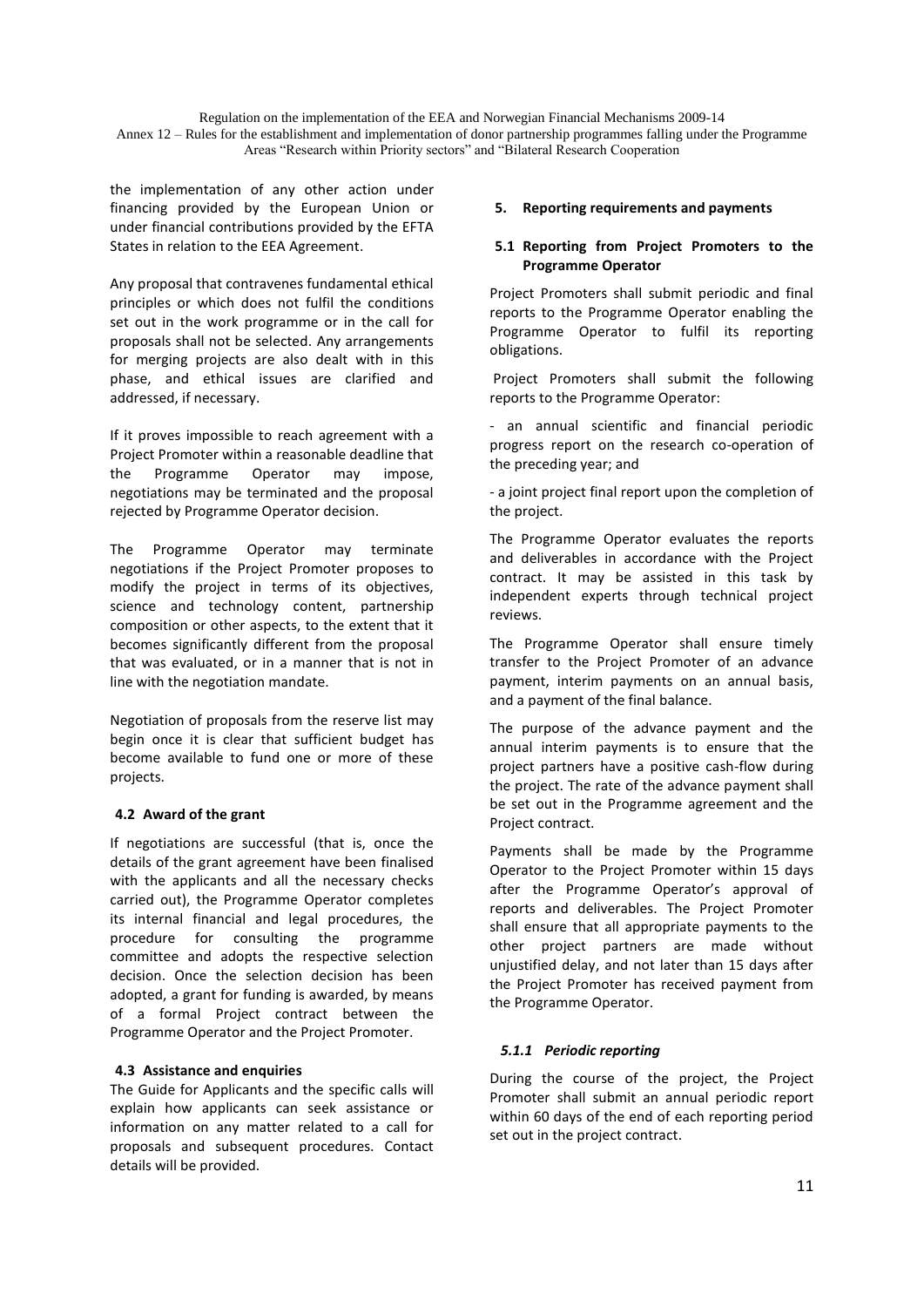the implementation of any other action under financing provided by the European Union or under financial contributions provided by the EFTA States in relation to the EEA Agreement.

Any proposal that contravenes fundamental ethical principles or which does not fulfil the conditions set out in the work programme or in the call for proposals shall not be selected. Any arrangements for merging projects are also dealt with in this phase, and ethical issues are clarified and addressed, if necessary.

If it proves impossible to reach agreement with a Project Promoter within a reasonable deadline that the Programme Operator may impose, negotiations may be terminated and the proposal rejected by Programme Operator decision.

The Programme Operator may terminate negotiations if the Project Promoter proposes to modify the project in terms of its objectives, science and technology content, partnership composition or other aspects, to the extent that it becomes significantly different from the proposal that was evaluated, or in a manner that is not in line with the negotiation mandate.

Negotiation of proposals from the reserve list may begin once it is clear that sufficient budget has become available to fund one or more of these projects.

#### **4.2 Award of the grant**

If negotiations are successful (that is, once the details of the grant agreement have been finalised with the applicants and all the necessary checks carried out), the Programme Operator completes its internal financial and legal procedures, the procedure for consulting the programme committee and adopts the respective selection decision. Once the selection decision has been adopted, a grant for funding is awarded, by means of a formal Project contract between the Programme Operator and the Project Promoter.

#### **4.3 Assistance and enquiries**

The Guide for Applicants and the specific calls will explain how applicants can seek assistance or information on any matter related to a call for proposals and subsequent procedures. Contact details will be provided.

#### **5. Reporting requirements and payments**

#### **5.1 Reporting from Project Promoters to the Programme Operator**

Project Promoters shall submit periodic and final reports to the Programme Operator enabling the Programme Operator to fulfil its reporting obligations.

Project Promoters shall submit the following reports to the Programme Operator:

- an annual scientific and financial periodic progress report on the research co-operation of the preceding year; and

- a joint project final report upon the completion of the project.

The Programme Operator evaluates the reports and deliverables in accordance with the Project contract. It may be assisted in this task by independent experts through technical project reviews.

The Programme Operator shall ensure timely transfer to the Project Promoter of an advance payment, interim payments on an annual basis, and a payment of the final balance.

The purpose of the advance payment and the annual interim payments is to ensure that the project partners have a positive cash-flow during the project. The rate of the advance payment shall be set out in the Programme agreement and the Project contract.

Payments shall be made by the Programme Operator to the Project Promoter within 15 days after the Programme Operator's approval of reports and deliverables. The Project Promoter shall ensure that all appropriate payments to the other project partners are made without unjustified delay, and not later than 15 days after the Project Promoter has received payment from the Programme Operator.

#### *5.1.1 Periodic reporting*

During the course of the project, the Project Promoter shall submit an annual periodic report within 60 days of the end of each reporting period set out in the project contract.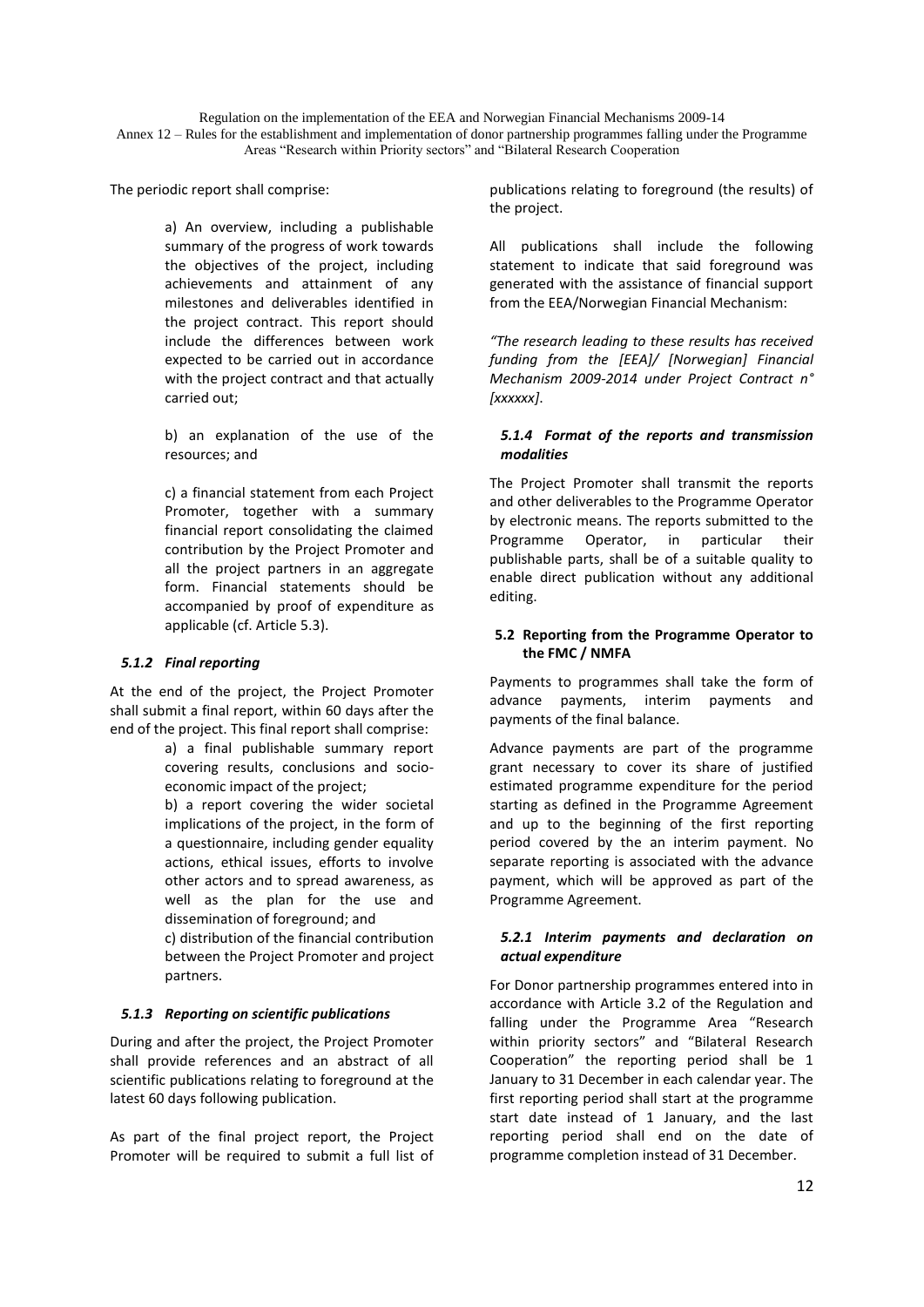Annex 12 – Rules for the establishment and implementation of donor partnership programmes falling under the Programme Areas "Research within Priority sectors" and "Bilateral Research Cooperation

The periodic report shall comprise:

a) An overview, including a publishable summary of the progress of work towards the objectives of the project, including achievements and attainment of any milestones and deliverables identified in the project contract. This report should include the differences between work expected to be carried out in accordance with the project contract and that actually carried out;

b) an explanation of the use of the resources; and

c) a financial statement from each Project Promoter, together with a summary financial report consolidating the claimed contribution by the Project Promoter and all the project partners in an aggregate form. Financial statements should be accompanied by proof of expenditure as applicable (cf. Article 5.3).

## *5.1.2 Final reporting*

At the end of the project, the Project Promoter shall submit a final report, within 60 days after the end of the project. This final report shall comprise:

> a) a final publishable summary report covering results, conclusions and socioeconomic impact of the project;

b) a report covering the wider societal implications of the project, in the form of a questionnaire, including gender equality actions, ethical issues, efforts to involve other actors and to spread awareness, as well as the plan for the use and dissemination of foreground; and

c) distribution of the financial contribution between the Project Promoter and project partners.

#### *5.1.3 Reporting on scientific publications*

During and after the project, the Project Promoter shall provide references and an abstract of all scientific publications relating to foreground at the latest 60 days following publication.

As part of the final project report, the Project Promoter will be required to submit a full list of

publications relating to foreground (the results) of the project.

All publications shall include the following statement to indicate that said foreground was generated with the assistance of financial support from the EEA/Norwegian Financial Mechanism:

*"The research leading to these results has received funding from the [EEA]/ [Norwegian] Financial Mechanism 2009-2014 under Project Contract n° [xxxxxx]*.

#### *5.1.4 Format of the reports and transmission modalities*

The Project Promoter shall transmit the reports and other deliverables to the Programme Operator by electronic means. The reports submitted to the Programme Operator, in particular their publishable parts, shall be of a suitable quality to enable direct publication without any additional editing.

#### **5.2 Reporting from the Programme Operator to the FMC / NMFA**

Payments to programmes shall take the form of advance payments, interim payments and payments of the final balance.

Advance payments are part of the programme grant necessary to cover its share of justified estimated programme expenditure for the period starting as defined in the Programme Agreement and up to the beginning of the first reporting period covered by the an interim payment. No separate reporting is associated with the advance payment, which will be approved as part of the Programme Agreement.

#### *5.2.1 Interim payments and declaration on actual expenditure*

For Donor partnership programmes entered into in accordance with Article 3.2 of the Regulation and falling under the Programme Area "Research within priority sectors" and "Bilateral Research Cooperation" the reporting period shall be 1 January to 31 December in each calendar year. The first reporting period shall start at the programme start date instead of 1 January, and the last reporting period shall end on the date of programme completion instead of 31 December.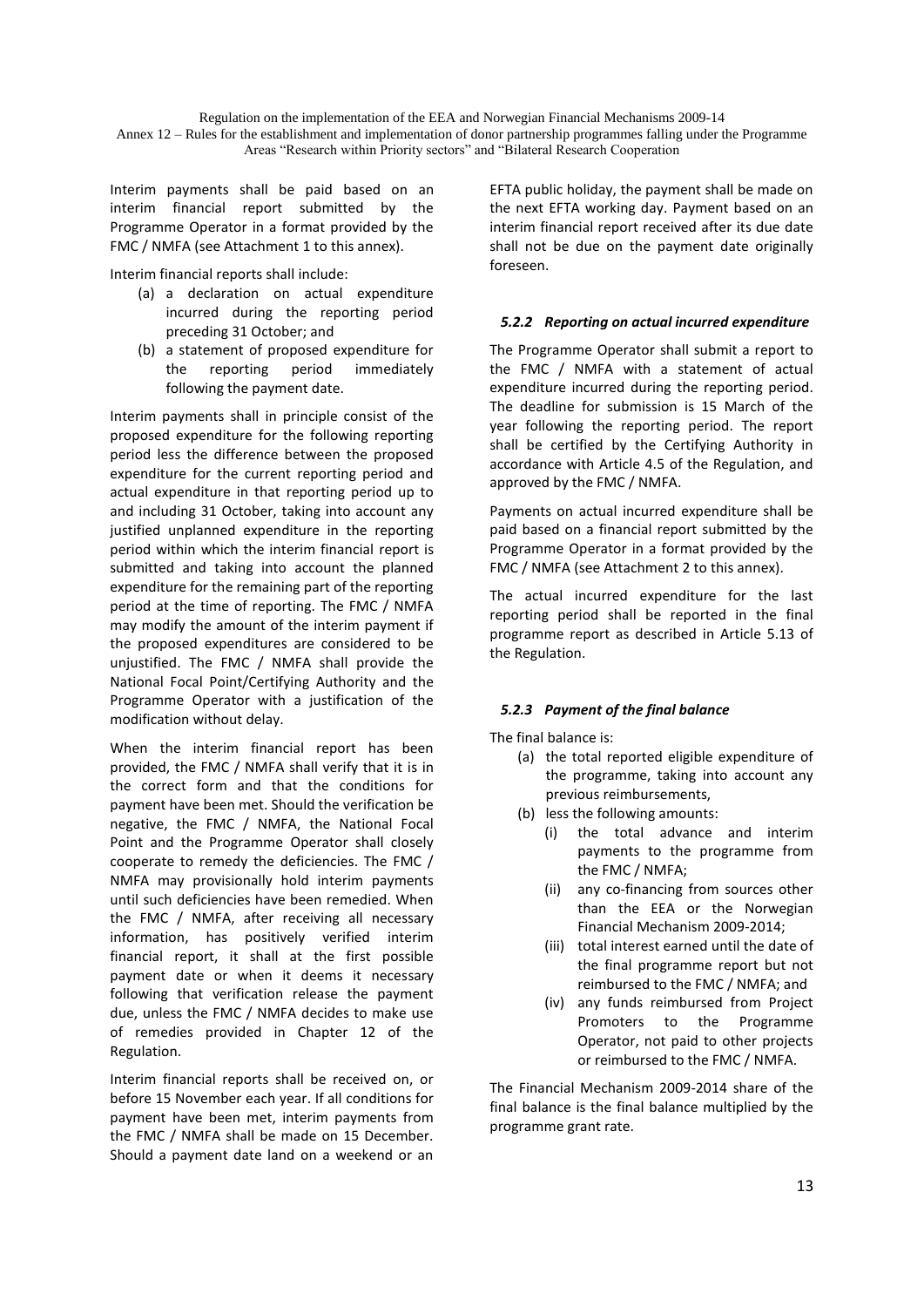Annex 12 – Rules for the establishment and implementation of donor partnership programmes falling under the Programme Areas "Research within Priority sectors" and "Bilateral Research Cooperation

Interim payments shall be paid based on an interim financial report submitted by the Programme Operator in a format provided by the FMC / NMFA (see Attachment 1 to this annex).

Interim financial reports shall include:

- (a) a declaration on actual expenditure incurred during the reporting period preceding 31 October; and
- (b) a statement of proposed expenditure for the reporting period immediately following the payment date.

Interim payments shall in principle consist of the proposed expenditure for the following reporting period less the difference between the proposed expenditure for the current reporting period and actual expenditure in that reporting period up to and including 31 October, taking into account any justified unplanned expenditure in the reporting period within which the interim financial report is submitted and taking into account the planned expenditure for the remaining part of the reporting period at the time of reporting. The FMC / NMFA may modify the amount of the interim payment if the proposed expenditures are considered to be unjustified. The FMC / NMFA shall provide the National Focal Point/Certifying Authority and the Programme Operator with a justification of the modification without delay.

When the interim financial report has been provided, the FMC / NMFA shall verify that it is in the correct form and that the conditions for payment have been met. Should the verification be negative, the FMC / NMFA, the National Focal Point and the Programme Operator shall closely cooperate to remedy the deficiencies. The FMC / NMFA may provisionally hold interim payments until such deficiencies have been remedied. When the FMC / NMFA, after receiving all necessary information, has positively verified interim financial report, it shall at the first possible payment date or when it deems it necessary following that verification release the payment due, unless the FMC / NMFA decides to make use of remedies provided in Chapter 12 of the Regulation.

Interim financial reports shall be received on, or before 15 November each year. If all conditions for payment have been met, interim payments from the FMC / NMFA shall be made on 15 December. Should a payment date land on a weekend or an

EFTA public holiday, the payment shall be made on the next EFTA working day. Payment based on an interim financial report received after its due date shall not be due on the payment date originally foreseen.

## *5.2.2 Reporting on actual incurred expenditure*

The Programme Operator shall submit a report to the FMC / NMFA with a statement of actual expenditure incurred during the reporting period. The deadline for submission is 15 March of the year following the reporting period. The report shall be certified by the Certifying Authority in accordance with Article 4.5 of the Regulation, and approved by the FMC / NMFA.

Payments on actual incurred expenditure shall be paid based on a financial report submitted by the Programme Operator in a format provided by the FMC / NMFA (see Attachment 2 to this annex).

The actual incurred expenditure for the last reporting period shall be reported in the final programme report as described in Article 5.13 of the Regulation.

#### *5.2.3 Payment of the final balance*

The final balance is:

- (a) the total reported eligible expenditure of the programme, taking into account any previous reimbursements,
- (b) less the following amounts:
	- (i) the total advance and interim payments to the programme from the FMC / NMFA;
	- (ii) any co-financing from sources other than the EEA or the Norwegian Financial Mechanism 2009-2014;
	- (iii) total interest earned until the date of the final programme report but not reimbursed to the FMC / NMFA; and
	- (iv) any funds reimbursed from Project Promoters to the Programme Operator, not paid to other projects or reimbursed to the FMC / NMFA.

The Financial Mechanism 2009-2014 share of the final balance is the final balance multiplied by the programme grant rate.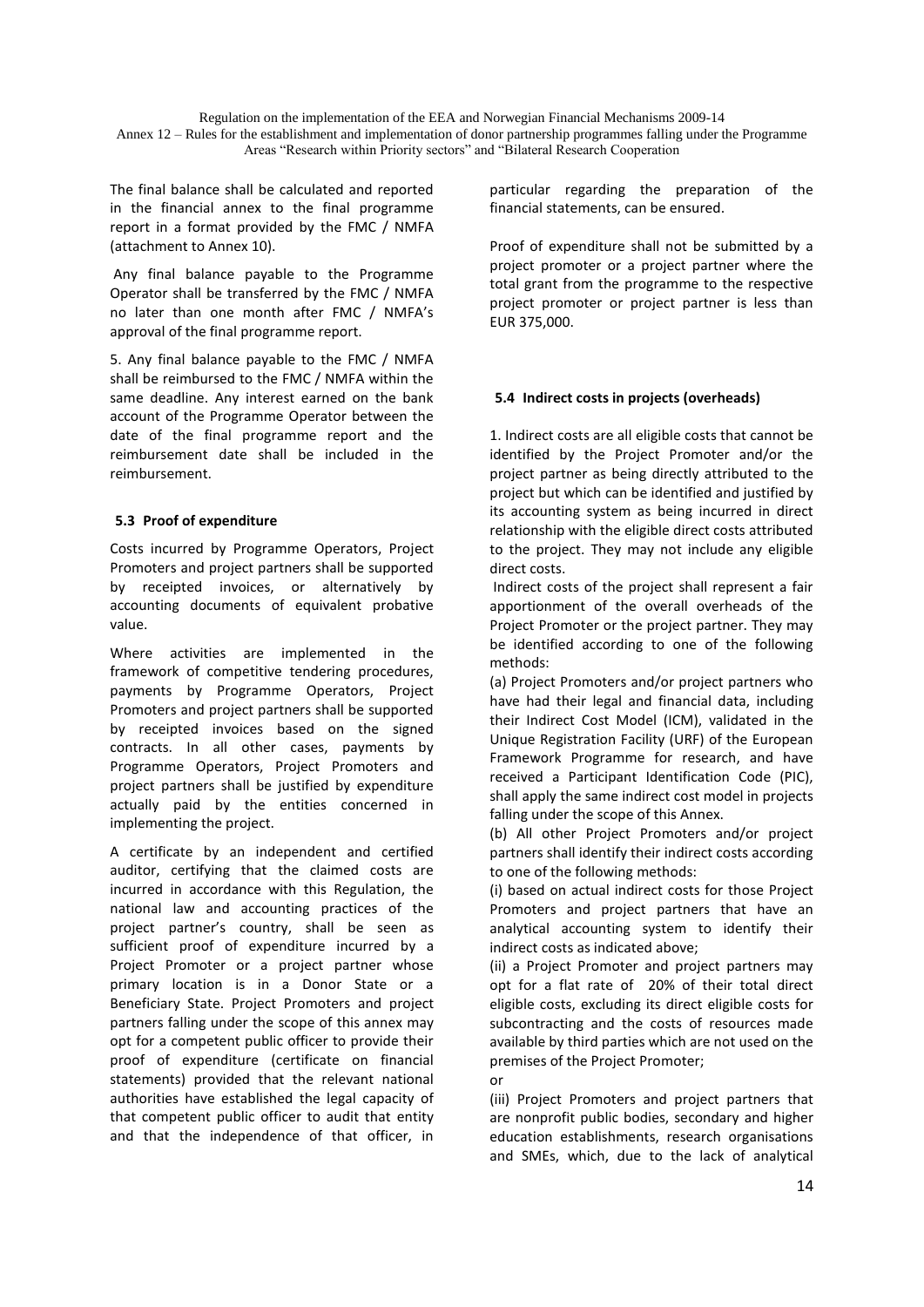The final balance shall be calculated and reported in the financial annex to the final programme report in a format provided by the FMC / NMFA (attachment to Annex 10).

Any final balance payable to the Programme Operator shall be transferred by the FMC / NMFA no later than one month after FMC / NMFA's approval of the final programme report.

5. Any final balance payable to the FMC / NMFA shall be reimbursed to the FMC / NMFA within the same deadline. Any interest earned on the bank account of the Programme Operator between the date of the final programme report and the reimbursement date shall be included in the reimbursement.

#### **5.3 Proof of expenditure**

Costs incurred by Programme Operators, Project Promoters and project partners shall be supported by receipted invoices, or alternatively by accounting documents of equivalent probative value.

Where activities are implemented in the framework of competitive tendering procedures, payments by Programme Operators, Project Promoters and project partners shall be supported by receipted invoices based on the signed contracts. In all other cases, payments by Programme Operators, Project Promoters and project partners shall be justified by expenditure actually paid by the entities concerned in implementing the project.

A certificate by an independent and certified auditor, certifying that the claimed costs are incurred in accordance with this Regulation, the national law and accounting practices of the project partner's country, shall be seen as sufficient proof of expenditure incurred by a Project Promoter or a project partner whose primary location is in a Donor State or a Beneficiary State. Project Promoters and project partners falling under the scope of this annex may opt for a competent public officer to provide their proof of expenditure (certificate on financial statements) provided that the relevant national authorities have established the legal capacity of that competent public officer to audit that entity and that the independence of that officer, in

particular regarding the preparation of the financial statements, can be ensured.

Proof of expenditure shall not be submitted by a project promoter or a project partner where the total grant from the programme to the respective project promoter or project partner is less than EUR 375,000.

## **5.4 Indirect costs in projects (overheads)**

1. Indirect costs are all eligible costs that cannot be identified by the Project Promoter and/or the project partner as being directly attributed to the project but which can be identified and justified by its accounting system as being incurred in direct relationship with the eligible direct costs attributed to the project. They may not include any eligible direct costs.

Indirect costs of the project shall represent a fair apportionment of the overall overheads of the Project Promoter or the project partner. They may be identified according to one of the following methods:

(a) Project Promoters and/or project partners who have had their legal and financial data, including their Indirect Cost Model (ICM), validated in the Unique Registration Facility (URF) of the European Framework Programme for research, and have received a Participant Identification Code (PIC), shall apply the same indirect cost model in projects falling under the scope of this Annex.

(b) All other Project Promoters and/or project partners shall identify their indirect costs according to one of the following methods:

(i) based on actual indirect costs for those Project Promoters and project partners that have an analytical accounting system to identify their indirect costs as indicated above;

(ii) a Project Promoter and project partners may opt for a flat rate of 20% of their total direct eligible costs, excluding its direct eligible costs for subcontracting and the costs of resources made available by third parties which are not used on the premises of the Project Promoter;

or

(iii) Project Promoters and project partners that are nonprofit public bodies, secondary and higher education establishments, research organisations and SMEs, which, due to the lack of analytical